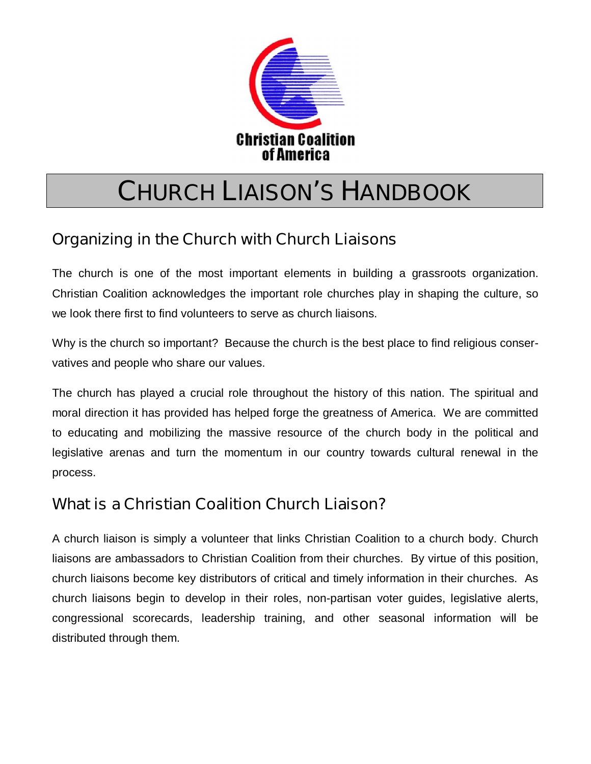

# **CHURCH LIAISON'S HANDBOOK**

## **Organizing in the Church with Church Liaisons**

The church is one of the most important elements in building a grassroots organization. Christian Coalition acknowledges the important role churches play in shaping the culture, so we look there first to find volunteers to serve as church liaisons.

Why is the church so important? Because the church is the best place to find religious conservatives and people who share our values.

The church has played a crucial role throughout the history of this nation. The spiritual and moral direction it has provided has helped forge the greatness of America. We are committed to educating and mobilizing the massive resource of the church body in the political and legislative arenas and turn the momentum in our country towards cultural renewal in the process.

## **What is a Christian Coalition Church Liaison?**

A church liaison is simply a volunteer that links Christian Coalition to a church body. Church liaisons are ambassadors to Christian Coalition from their churches. By virtue of this position, church liaisons become key distributors of critical and timely information in their churches. As church liaisons begin to develop in their roles, non-partisan voter guides, legislative alerts, congressional scorecards, leadership training, and other seasonal information will be distributed through them.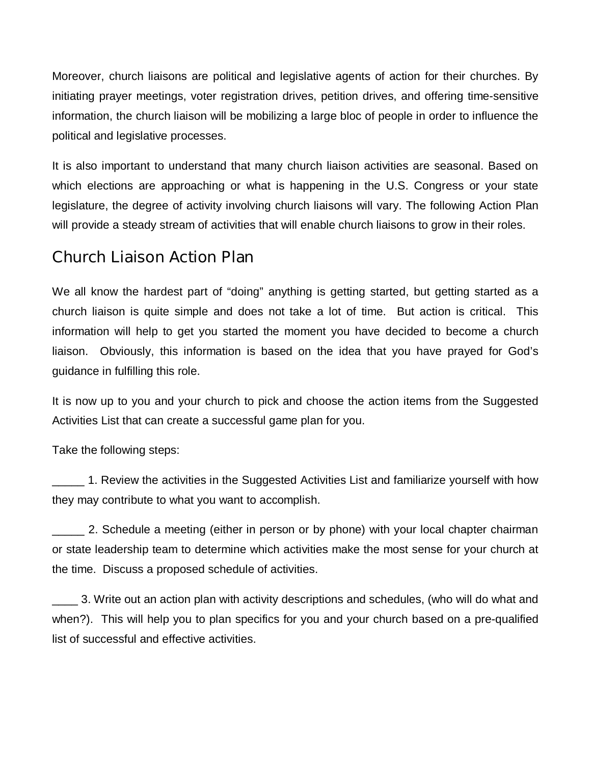Moreover, church liaisons are political and legislative agents of action for their churches. By initiating prayer meetings, voter registration drives, petition drives, and offering time-sensitive information, the church liaison will be mobilizing a large bloc of people in order to influence the political and legislative processes.

It is also important to understand that many church liaison activities are seasonal. Based on which elections are approaching or what is happening in the U.S. Congress or your state legislature, the degree of activity involving church liaisons will vary. The following Action Plan will provide a steady stream of activities that will enable church liaisons to grow in their roles.

#### **Church Liaison Action Plan**

We all know the hardest part of "doing" anything is getting started, but getting started as a church liaison is quite simple and does not take a lot of time. But action is critical. This information will help to get you started the moment you have decided to become a church liaison. Obviously, this information is based on the idea that you have prayed for God's guidance in fulfilling this role.

It is now up to you and your church to pick and choose the action items from the Suggested Activities List that can create a successful game plan for you.

Take the following steps:

\_\_\_\_\_ 1. Review the activities in the Suggested Activities List and familiarize yourself with how they may contribute to what you want to accomplish.

2. Schedule a meeting (either in person or by phone) with your local chapter chairman or state leadership team to determine which activities make the most sense for your church at the time. Discuss a proposed schedule of activities.

3. Write out an action plan with activity descriptions and schedules, (who will do what and when?). This will help you to plan specifics for you and your church based on a pre-qualified list of successful and effective activities.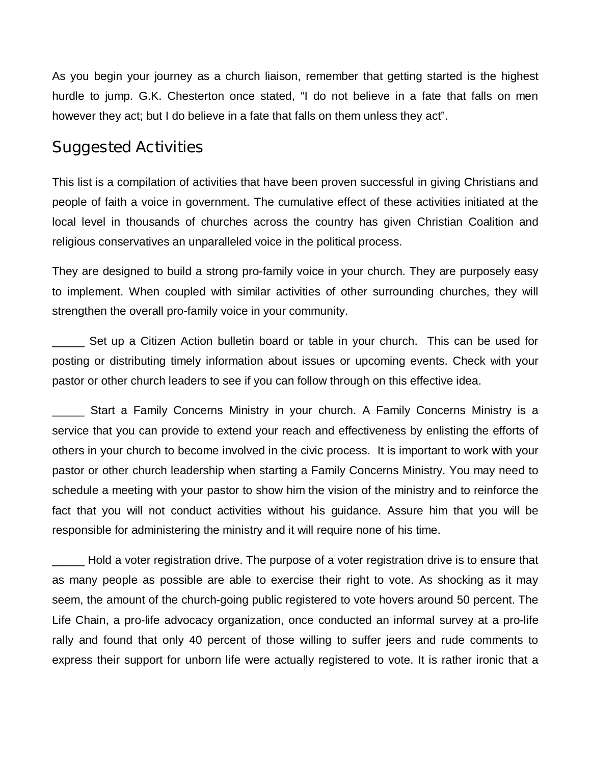As you begin your journey as a church liaison, remember that getting started is the highest hurdle to jump. G.K. Chesterton once stated, "I do not believe in a fate that falls on men however they act; but I do believe in a fate that falls on them unless they act".

#### **Suggested Activities**

This list is a compilation of activities that have been proven successful in giving Christians and people of faith a voice in government. The cumulative effect of these activities initiated at the local level in thousands of churches across the country has given Christian Coalition and religious conservatives an unparalleled voice in the political process.

They are designed to build a strong pro-family voice in your church. They are purposely easy to implement. When coupled with similar activities of other surrounding churches, they will strengthen the overall pro-family voice in your community.

Set up a Citizen Action bulletin board or table in your church. This can be used for posting or distributing timely information about issues or upcoming events. Check with your pastor or other church leaders to see if you can follow through on this effective idea.

\_\_\_\_\_ Start a Family Concerns Ministry in your church. A Family Concerns Ministry is a service that you can provide to extend your reach and effectiveness by enlisting the efforts of others in your church to become involved in the civic process. It is important to work with your pastor or other church leadership when starting a Family Concerns Ministry. You may need to schedule a meeting with your pastor to show him the vision of the ministry and to reinforce the fact that you will not conduct activities without his guidance. Assure him that you will be responsible for administering the ministry and it will require none of his time.

\_\_\_\_\_ Hold a voter registration drive. The purpose of a voter registration drive is to ensure that as many people as possible are able to exercise their right to vote. As shocking as it may seem, the amount of the church-going public registered to vote hovers around 50 percent. The Life Chain, a pro-life advocacy organization, once conducted an informal survey at a pro-life rally and found that only 40 percent of those willing to suffer jeers and rude comments to express their support for unborn life were actually registered to vote. It is rather ironic that a